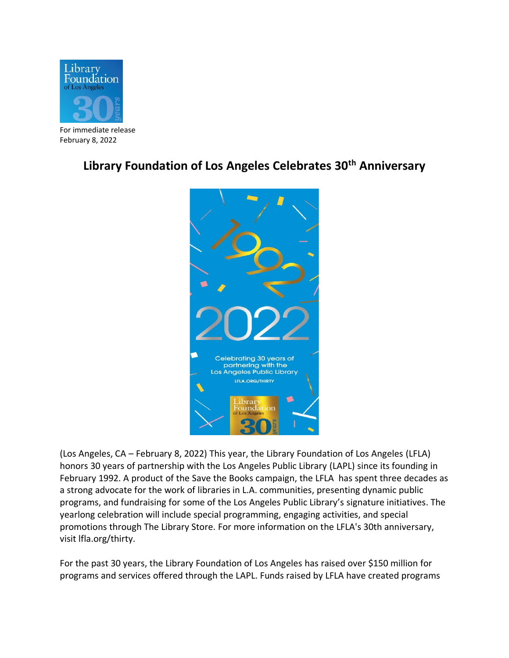

For immediate release February 8, 2022

## **Library Foundation of Los Angeles Celebrates 30th Anniversary**



(Los Angeles, CA – February 8, 2022) This year, the Library Foundation of Los Angeles (LFLA) honors 30 years of partnership with the Los Angeles Public Library (LAPL) since its founding in February 1992. A product of the Save the Books campaign, the LFLA has spent three decades as a strong advocate for the work of libraries in L.A. communities, presenting dynamic public programs, and fundraising for some of the Los Angeles Public Library's signature initiatives. The yearlong celebration will include special programming, engaging activities, and special promotions through The Library Store. For more information on the LFLA's 30th anniversary, visit lfla.org/thirty.

For the past 30 years, the Library Foundation of Los Angeles has raised over \$150 million for programs and services offered through the LAPL. Funds raised by LFLA have created programs